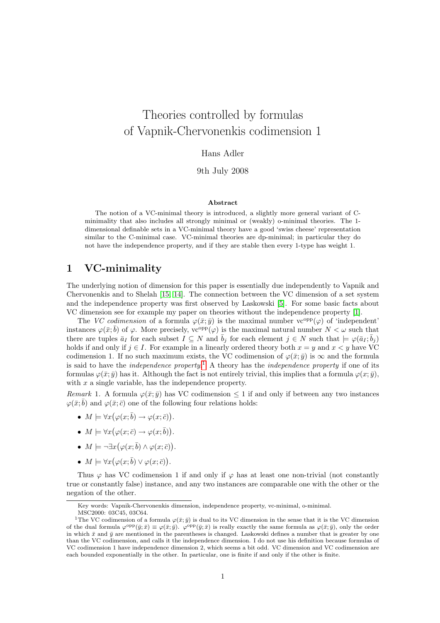# Theories controlled by formulas of Vapnik-Chervonenkis codimension 1

Hans Adler

9th July 2008

#### Abstract

The notion of a VC-minimal theory is introduced, a slightly more general variant of Cminimality that also includes all strongly minimal or (weakly) o-minimal theories. The 1 dimensional definable sets in a VC-minimal theory have a good 'swiss cheese' representation similar to the C-minimal case. VC-minimal theories are dp-minimal; in particular they do not have the independence property, and if they are stable then every 1-type has weight 1.

### 1 VC-minimality

The underlying notion of dimension for this paper is essentially due independently to Vapnik and Chervonenkis and to Shelah [15, 14]. The connection between the VC dimension of a set system and the independence property was first observed by Laskowski [\[5\]](#page-6-0). For some basic facts about VC dimension see for example my paper on theories without the independence property [\[1\]](#page-6-1).

The VC codimension of a formula  $\varphi(\bar{x}; \bar{y})$  is the maximal number vc<sup>opp</sup>( $\varphi$ ) of 'independent' instances  $\varphi(\bar{x}; \bar{b})$  of  $\varphi$ . More precisely,  $\text{vc}^{\text{opp}}(\varphi)$  is the maximal natural number  $N < \omega$  such that there are tuples  $\bar{a}_I$  for each subset  $I \subseteq N$  and  $\bar{b}_j$  for each element  $j \in N$  such that  $\models \varphi(\bar{a}_I;\bar{b}_j)$ holds if and only if  $j \in I$ . For example in a linearly ordered theory both  $x = y$  and  $x < y$  have VC codimension 1. If no such maximum exists, the VC codimension of  $\varphi(\bar{x}; \bar{y})$  is  $\infty$  and the formula is said to have the *independence property*.<sup>[1](#page-0-0)</sup> A theory has the *independence property* if one of its formulas  $\varphi(\bar{x}; \bar{y})$  has it. Although the fact is not entirely trivial, this implies that a formula  $\varphi(x; \bar{y})$ , with  $x$  a single variable, has the independence property.

Remark 1. A formula  $\varphi(\bar{x}; \bar{y})$  has VC codimension  $\leq 1$  if and only if between any two instances  $\varphi(\bar{x};\bar{b})$  and  $\varphi(\bar{x};\bar{c})$  one of the following four relations holds:

- $M \models \forall x (\varphi(x; \overline{b}) \rightarrow \varphi(x; \overline{c})).$
- $M \models \forall x (\varphi(x; \bar{c}) \rightarrow \varphi(x; \bar{b})).$
- $M \models \neg \exists x (\varphi(x; \overline{b}) \land \varphi(x; \overline{c})).$
- $M \models \forall x (\varphi(x; \overline{b}) \vee \varphi(x; \overline{c})).$

Thus  $\varphi$  has VC codimension 1 if and only if  $\varphi$  has at least one non-trivial (not constantly true or constantly false) instance, and any two instances are comparable one with the other or the negation of the other.

Key words: Vapnik-Chervonenkis dimension, independence property, vc-minimal, o-minimal.

<span id="page-0-0"></span>MSC2000: 03C45, 03C64.

<sup>&</sup>lt;sup>1</sup>The VC codimension of a formula  $\varphi(\bar{x}; \bar{y})$  is dual to its VC dimension in the sense that it is the VC dimension of the dual formula  $\varphi^{\text{opp}}(\bar{y};\bar{x}) \equiv \varphi(\bar{x};\bar{y})$ .  $\varphi^{\text{opp}}(\bar{y};\bar{x})$  is really exactly the same formula as  $\varphi(\bar{x};\bar{y})$ , only the order in which  $\bar{x}$  and  $\bar{y}$  are mentioned in the parentheses is changed. Laskowski defines a number that is greater by one than the VC codimension, and calls it the independence dimension. I do not use his definition because formulas of VC codimension 1 have independence dimension 2, which seems a bit odd. VC dimension and VC codimension are each bounded exponentially in the other. In particular, one is finite if and only if the other is finite.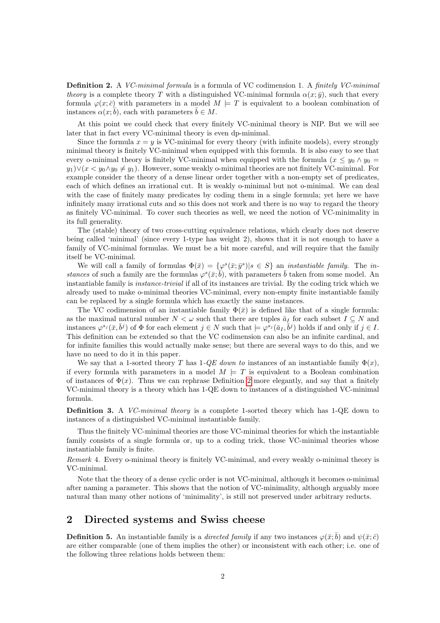Definition 2. A VC-minimal formula is a formula of VC codimension 1. A finitely VC-minimal theory is a complete theory T with a distinguished VC-minimal formula  $\alpha(x; \bar{y})$ , such that every formula  $\varphi(x;\bar{c})$  with parameters in a model  $M \models T$  is equivalent to a boolean combination of instances  $\alpha(x;\bar{b})$ , each with parameters  $\bar{b} \in M$ .

At this point we could check that every finitely VC-minimal theory is NIP. But we will see later that in fact every VC-minimal theory is even dp-minimal.

Since the formula  $x = y$  is VC-minimal for every theory (with infinite models), every strongly minimal theory is finitely VC-minimal when equipped with this formula. It is also easy to see that every o-minimal theory is finitely VC-minimal when equipped with the formula  $(x \leq y_0 \wedge y_0 =$  $y_1$ ) $\vee$ ( $x < y_0 \wedge y_0 \neq y_1$ ). However, some weakly o-minimal theories are not finitely VC-minimal. For example consider the theory of a dense linear order together with a non-empty set of predicates, each of which defines an irrational cut. It is weakly o-minimal but not o-minimal. We can deal with the case of finitely many predicates by coding them in a single formula; yet here we have infinitely many irrational cuts and so this does not work and there is no way to regard the theory as finitely VC-minimal. To cover such theories as well, we need the notion of VC-minimality in its full generality.

The (stable) theory of two cross-cutting equivalence relations, which clearly does not deserve being called 'minimal' (since every 1-type has weight 2), shows that it is not enough to have a family of VC-minimal formulas. We must be a bit more careful, and will require that the family itself be VC-minimal.

We will call a family of formulas  $\Phi(\bar{x}) = {\varphi^s(\bar{x}; \bar{y}^s)}|s \in S}$  an *instantiable family*. The *in*stances of such a family are the formulas  $\varphi^{s}(\bar{x};\bar{b})$ , with parameters  $\bar{b}$  taken from some model. An instantiable family is instance-trivial if all of its instances are trivial. By the coding trick which we already used to make o-minimal theories VC-minimal, every non-empty finite instantiable family can be replaced by a single formula which has exactly the same instances.

The VC codimension of an instantiable family  $\Phi(\bar{x})$  is defined like that of a single formula: as the maximal natural number  $N < \omega$  such that there are tuples  $\bar{a}_I$  for each subset  $I \subseteq N$  and instances  $\varphi^{s_j}(\bar{x}, \bar{b}^j)$  of  $\Phi$  for each element  $j \in N$  such that  $\models \varphi^{s_j}(\bar{a}_I, \bar{b}^j)$  holds if and only if  $j \in I$ . This definition can be extended so that the VC codimension can also be an infinite cardinal, and for infinite families this would actually make sense; but there are several ways to do this, and we have no need to do it in this paper.

We say that a 1-sorted theory T has  $1$ -QE down to instances of an instantiable family  $\Phi(x)$ , if every formula with parameters in a model  $M \models T$  is equivalent to a Boolean combination of instances of  $\Phi(x)$ . Thus we can rephrase Definition 2 more elegantly, and say that a finitely VC-minimal theory is a theory which has 1-QE down to instances of a distinguished VC-minimal formula.

Definition 3. A *VC-minimal theory* is a complete 1-sorted theory which has 1-QE down to instances of a distinguished VC-minimal instantiable family.

Thus the finitely VC-minimal theories are those VC-minimal theories for which the instantiable family consists of a single formula or, up to a coding trick, those VC-minimal theories whose instantiable family is finite.

Remark 4. Every o-minimal theory is finitely VC-minimal, and every weakly o-minimal theory is VC-minimal.

Note that the theory of a dense cyclic order is not VC-minimal, although it becomes o-minimal after naming a parameter. This shows that the notion of VC-minimality, although arguably more natural than many other notions of 'minimality', is still not preserved under arbitrary reducts.

### 2 Directed systems and Swiss cheese

**Definition 5.** An instantiable family is a *directed family* if any two instances  $\varphi(\bar{x}; \bar{b})$  and  $\psi(\bar{x}; \bar{c})$ are either comparable (one of them implies the other) or inconsistent with each other; i.e. one of the following three relations holds between them: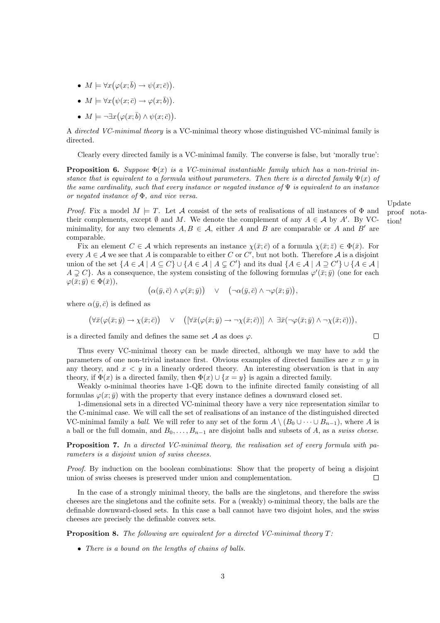3

- $M \models \forall x (\varphi(x; \bar{b}) \rightarrow \psi(x; \bar{c})).$
- $M \models \forall x (\psi(x; \bar{c}) \rightarrow \varphi(x; \bar{b})).$
- $M \models \neg \exists x (\varphi(x; \overline{b}) \land \psi(x; \overline{c})).$

A directed VC-minimal theory is a VC-minimal theory whose distinguished VC-minimal family is directed.

Clearly every directed family is a VC-minimal family. The converse is false, but 'morally true':

**Proposition 6.** Suppose  $\Phi(x)$  is a VC-minimal instantiable family which has a non-trivial instance that is equivalent to a formula without parameters. Then there is a directed family  $\Psi(x)$  of the same cardinality, such that every instance or negated instance of  $\Psi$  is equivalent to an instance or negated instance of Φ, and vice versa.

*Proof.* Fix a model  $M \models T$ . Let A consist of the sets of realisations of all instances of  $\Phi$  and their complements, except  $\emptyset$  and M. We denote the complement of any  $A \in \mathcal{A}$  by A'. By VCminimality, for any two elements  $A, B \in \mathcal{A}$ , either A and B are comparable or A and B' are comparable.

Fix an element  $C \in \mathcal{A}$  which represents an instance  $\chi(\bar{x}; \bar{c})$  of a formula  $\chi(\bar{x}; \bar{z}) \in \Phi(\bar{x})$ . For every  $A \in \mathcal{A}$  we see that A is comparable to either C or C', but not both. Therefore A is a disjoint union of the set  $\{A \in \mathcal{A} \mid A \subseteq C\} \cup \{A \in \mathcal{A} \mid A \subsetneq C'\}$  and its dual  $\{A \in \mathcal{A} \mid A \supseteq C'\} \cup \{A \in \mathcal{A} \mid A \subseteq C\}$  $A \supsetneq C$ . As a consequence, the system consisting of the following formulas  $\varphi'(\bar{x}; \bar{y})$  (one for each  $\varphi(\bar{x}; \bar{y}) \in \Phi(\bar{x})),$ 

$$
(\alpha(\bar{y}, \bar{c}) \wedge \varphi(\bar{x}; \bar{y})) \quad \vee \quad (\neg \alpha(\bar{y}, \bar{c}) \wedge \neg \varphi(\bar{x}; \bar{y})),
$$

where  $\alpha(\bar{y}, \bar{c})$  is defined as

 $(\forall \bar{x}(\varphi(\bar{x};\bar{y}) \rightarrow \chi(\bar{x};\bar{c})) \quad \vee \quad (\forall \bar{x}(\varphi(\bar{x};\bar{y}) \rightarrow \neg \chi(\bar{x};\bar{c})) \land \exists \bar{x}(\neg \varphi(\bar{x};\bar{y}) \land \neg \chi(\bar{x};\bar{c}))),$ 

is a directed family and defines the same set  $A$  as does  $\varphi$ .

Thus every VC-minimal theory can be made directed, although we may have to add the parameters of one non-trivial instance first. Obvious examples of directed families are  $x = y$  in any theory, and  $x < y$  in a linearly ordered theory. An interesting observation is that in any theory, if  $\Phi(x)$  is a directed family, then  $\Phi(x) \cup \{x = y\}$  is again a directed family.

Weakly o-minimal theories have 1-QE down to the infinite directed family consisting of all formulas  $\varphi(x; \bar{y})$  with the property that every instance defines a downward closed set.

1-dimensional sets in a directed VC-minimal theory have a very nice representation similar to the C-minimal case. We will call the set of realisations of an instance of the distinguished directed VC-minimal family a *ball*. We will refer to any set of the form  $A \setminus (B_0 \cup \cdots \cup B_{n-1})$ , where A is a ball or the full domain, and  $B_0, \ldots, B_{n-1}$  are disjoint balls and subsets of A, as a swiss cheese.

Proposition 7. In a directed VC-minimal theory, the realisation set of every formula with parameters is a disjoint union of swiss cheeses.

Proof. By induction on the boolean combinations: Show that the property of being a disjoint union of swiss cheeses is preserved under union and complementation.  $\Box$ 

In the case of a strongly minimal theory, the balls are the singletons, and therefore the swiss cheeses are the singletons and the cofinite sets. For a (weakly) o-minimal theory, the balls are the definable downward-closed sets. In this case a ball cannot have two disjoint holes, and the swiss cheeses are precisely the definable convex sets.

**Proposition 8.** The following are equivalent for a directed VC-minimal theory  $T$ :

• There is a bound on the lengths of chains of balls.

Update proof notation!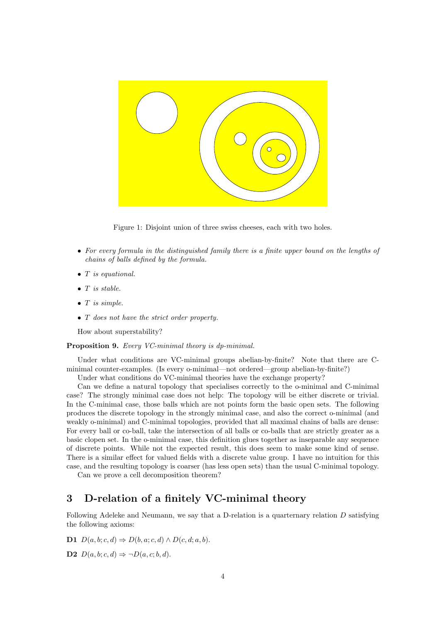

Figure 1: Disjoint union of three swiss cheeses, each with two holes.

- For every formula in the distinguished family there is a finite upper bound on the lengths of chains of balls defined by the formula.
- T is equational.
- $\bullet$  T is stable.
- $\bullet$  T is simple.
- T does not have the strict order property.

How about superstability?

#### Proposition 9. Every VC-minimal theory is dp-minimal.

Under what conditions are VC-minimal groups abelian-by-finite? Note that there are Cminimal counter-examples. (Is every o-minimal—not ordered—group abelian-by-finite?)

Under what conditions do VC-minimal theories have the exchange property?

Can we define a natural topology that specialises correctly to the o-minimal and C-minimal case? The strongly minimal case does not help: The topology will be either discrete or trivial. In the C-minimal case, those balls which are not points form the basic open sets. The following produces the discrete topology in the strongly minimal case, and also the correct o-minimal (and weakly o-minimal) and C-minimal topologies, provided that all maximal chains of balls are dense: For every ball or co-ball, take the intersection of all balls or co-balls that are strictly greater as a basic clopen set. In the o-minimal case, this definition glues together as inseparable any sequence of discrete points. While not the expected result, this does seem to make some kind of sense. There is a similar effect for valued fields with a discrete value group. I have no intuition for this case, and the resulting topology is coarser (has less open sets) than the usual C-minimal topology.

Can we prove a cell decomposition theorem?

### 3 D-relation of a finitely VC-minimal theory

Following Adeleke and Neumann, we say that a D-relation is a quarternary relation  $D$  satisfying the following axioms:

D1  $D(a, b; c, d) \Rightarrow D(b, a; c, d) \wedge D(c, d; a, b).$ 

**D2**  $D(a, b; c, d) \Rightarrow \neg D(a, c; b, d).$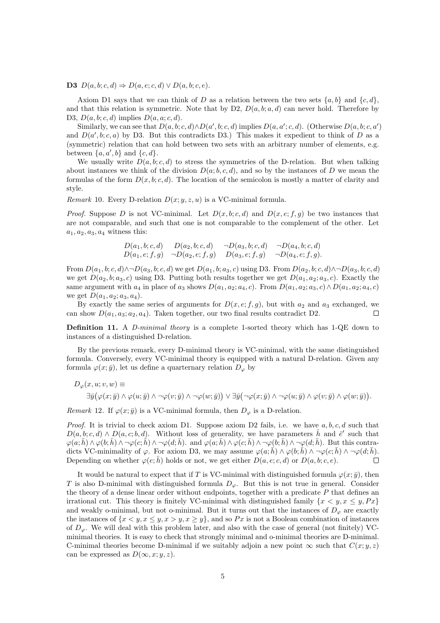D3  $D(a, b; c, d) \Rightarrow D(a, e; c, d) \vee D(a, b; c, e).$ 

Axiom D1 says that we can think of D as a relation between the two sets  $\{a, b\}$  and  $\{c, d\}$ , and that this relation is symmetric. Note that by D2,  $D(a, b; a, d)$  can never hold. Therefore by D3,  $D(a, b; c, d)$  implies  $D(a, a; c, d)$ .

Similarly, we can see that  $D(a, b; c, d) \wedge D(a', b; c, d)$  implies  $D(a, a'; c, d)$ . (Otherwise  $D(a, b; c, a')$ ) and  $D(a',b;c,a)$  by D3. But this contradicts D3.) This makes it expedient to think of D as a (symmetric) relation that can hold between two sets with an arbitrary number of elements, e.g. between  $\{a, a', b\}$  and  $\{c, d\}.$ 

We usually write  $D(a, b; c, d)$  to stress the symmetries of the D-relation. But when talking about instances we think of the division  $D(a; b, c, d)$ , and so by the instances of D we mean the formulas of the form  $D(x, b; c, d)$ . The location of the semicolon is mostly a matter of clarity and style.

Remark 10. Every D-relation  $D(x; y, z, u)$  is a VC-minimal formula.

*Proof.* Suppose D is not VC-minimal. Let  $D(x, b; c, d)$  and  $D(x, e; f, g)$  be two instances that are not comparable, and such that one is not comparable to the complement of the other. Let  $a_1, a_2, a_3, a_4$  witness this:

$$
D(a_1, b; c, d) \qquad D(a_2, b; c, d) \qquad \neg D(a_3, b; c, d) \qquad \neg D(a_4, b; c, d)
$$
  

$$
D(a_1, e; f, g) \qquad \neg D(a_2, e; f, g) \qquad D(a_3, e; f, g) \qquad \neg D(a_4, e; f, g).
$$

From  $D(a_1, b; c, d) \wedge \neg D(a_3, b; c, d)$  we get  $D(a_1, b; a_3, c)$  using D3. From  $D(a_2, b; c, d) \wedge \neg D(a_3, b; c, d)$ we get  $D(a_2, b; a_3, c)$  using D3. Putting both results together we get  $D(a_1, a_2; a_3, c)$ . Exactly the same argument with  $a_4$  in place of  $a_3$  shows  $D(a_1, a_2; a_4, c)$ . From  $D(a_1, a_2; a_3, c) \wedge D(a_1, a_2; a_4, c)$ we get  $D(a_1, a_2; a_3, a_4)$ .

By exactly the same series of arguments for  $D(x, e; f, g)$ , but with  $a_2$  and  $a_3$  exchanged, we can show  $D(a_1, a_3; a_2, a_4)$ . Taken together, our two final results contradict D2.  $\Box$ 

Definition 11. A *D-minimal theory* is a complete 1-sorted theory which has 1-QE down to instances of a distinguished D-relation.

By the previous remark, every D-minimal theory is VC-minimal, with the same distinguished formula. Conversely, every VC-minimal theory is equipped with a natural D-relation. Given any formula  $\varphi(x; \bar{y})$ , let us define a quarternary relation  $D_{\varphi}$  by

$$
D_{\varphi}(x, u; v, w) \equiv
$$
  

$$
\exists \bar{y}(\varphi(x; \bar{y}) \land \varphi(u; \bar{y}) \land \neg \varphi(v; \bar{y}) \land \neg \varphi(w; \bar{y})) \lor \exists \bar{y}(\neg \varphi(x; \bar{y}) \land \neg \varphi(u; \bar{y}) \land \varphi(v; \bar{y}) \land \varphi(w; \bar{y})).
$$

Remark 12. If  $\varphi(x;\bar{y})$  is a VC-minimal formula, then  $D_{\varphi}$  is a D-relation.

*Proof.* It is trivial to check axiom D1. Suppose axiom D2 fails, i.e. we have  $a, b, c, d$  such that  $D(a, b; c, d) \wedge D(a, c; b, d)$ . Without loss of generality, we have parameters  $\bar{h}$  and  $\bar{e}^{\prime}$  such that  $\varphi(a;\bar{h}) \wedge \varphi(b;\bar{h}) \wedge \neg \varphi(c;\bar{h}) \wedge \neg \varphi(d;\bar{h})$ . and  $\varphi(a;\bar{h}) \wedge \varphi(c;\bar{h}) \wedge \neg \varphi(b;\bar{h}) \wedge \neg \varphi(d;\bar{h})$ . But this contradicts VC-minimality of  $\varphi$ . For axiom D3, we may assume  $\varphi(a;\bar{h}) \wedge \varphi(b;\bar{h}) \wedge \neg \varphi(c;\bar{h}) \wedge \neg \varphi(d;\bar{h}).$ Depending on whether  $\varphi(e; \bar{h})$  holds or not, we get either  $D(a, e; c, d)$  or  $D(a, b; c, e)$ .  $\Box$ 

It would be natural to expect that if T is VC-minimal with distinguished formula  $\varphi(x; \bar{y})$ , then T is also D-minimal with distinguished formula  $D_{\varphi}$ . But this is not true in general. Consider the theory of a dense linear order without endpoints, together with a predicate  $P$  that defines an irrational cut. This theory is finitely VC-minimal with distinguished family  $\{x < y, x \leq y, Px\}$ and weakly o-minimal, but not o-minimal. But it turns out that the instances of  $D_{\varphi}$  are exactly the instances of  $\{x \le y, x \le y, x \ge y\}$ , and so Px is not a Boolean combination of instances of  $D_{\varphi}$ . We will deal with this problem later, and also with the case of general (not finitely) VCminimal theories. It is easy to check that strongly minimal and o-minimal theories are D-minimal. C-minimal theories become D-minimal if we suitably adjoin a new point  $\infty$  such that  $C(x; y, z)$ can be expressed as  $D(\infty, x; y, z)$ .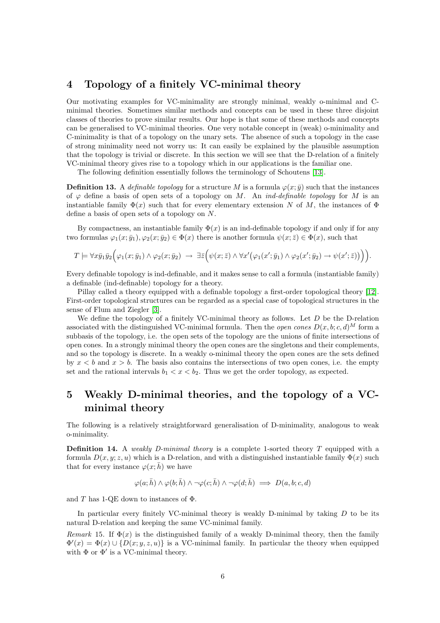### 4 Topology of a finitely VC-minimal theory

Our motivating examples for VC-minimality are strongly minimal, weakly o-minimal and Cminimal theories. Sometimes similar methods and concepts can be used in these three disjoint classes of theories to prove similar results. Our hope is that some of these methods and concepts can be generalised to VC-minimal theories. One very notable concept in (weak) o-minimality and C-minimality is that of a topology on the unary sets. The absence of such a topology in the case of strong minimality need not worry us: It can easily be explained by the plausible assumption that the topology is trivial or discrete. In this section we will see that the D-relation of a finitely VC-minimal theory gives rise to a topology which in our applications is the familiar one.

The following definition essentially follows the terminology of Schoutens [13].

**Definition 13.** A definable topology for a structure M is a formula  $\varphi(x; \bar{y})$  such that the instances of  $\varphi$  define a basis of open sets of a topology on M. An *ind-definable topology* for M is an instantiable family  $\Phi(x)$  such that for every elementary extension N of M, the instances of  $\Phi$ define a basis of open sets of a topology on N.

By compactness, an instantiable family  $\Phi(x)$  is an ind-definable topology if and only if for any two formulas  $\varphi_1(x;\bar{y}_1), \varphi_2(x;\bar{y}_2) \in \Phi(x)$  there is another formula  $\psi(x;\bar{z}) \in \Phi(x)$ , such that

$$
T \models \forall x \bar{y}_1 \bar{y}_2 \Big( \varphi_1(x; \bar{y}_1) \land \varphi_2(x; \bar{y}_2) \rightarrow \exists \bar{z} \Big( \psi(x; \bar{z}) \land \forall x' \big( \varphi_1(x'; \bar{y}_1) \land \varphi_2(x'; \bar{y}_2) \rightarrow \psi(x'; \bar{z}) \big) \Big) \Big).
$$

Every definable topology is ind-definable, and it makes sense to call a formula (instantiable family) a definable (ind-definable) topology for a theory.

Pillay called a theory equipped with a definable topology a first-order topological theory [\[12\]](#page-6-2). First-order topological structures can be regarded as a special case of topological structures in the sense of Flum and Ziegler [\[3\]](#page-6-3).

We define the topology of a finitely VC-minimal theory as follows. Let  $D$  be the D-relation associated with the distinguished VC-minimal formula. Then the *open cones*  $D(x, b; c, d)^M$  form a subbasis of the topology, i.e. the open sets of the topology are the unions of finite intersections of open cones. In a strongly minimal theory the open cones are the singletons and their complements, and so the topology is discrete. In a weakly o-minimal theory the open cones are the sets defined by  $x < b$  and  $x > b$ . The basis also contains the intersections of two open cones, i.e. the empty set and the rational intervals  $b_1 < x < b_2$ . Thus we get the order topology, as expected.

## 5 Weakly D-minimal theories, and the topology of a VCminimal theory

The following is a relatively straightforward generalisation of D-minimality, analogous to weak o-minimality.

**Definition 14.** A weakly D-minimal theory is a complete 1-sorted theory  $T$  equipped with a formula  $D(x, y; z, u)$  which is a D-relation, and with a distinguished instantiable family  $\Phi(x)$  such that for every instance  $\varphi(x; \bar{h})$  we have

$$
\varphi(a;\bar{h})\wedge \varphi(b;\bar{h})\wedge \neg\varphi(c;\bar{h})\wedge \neg\varphi(d;\bar{h})\implies D(a,b;c,d)
$$

and T has 1-QE down to instances of  $\Phi$ .

In particular every finitely VC-minimal theory is weakly D-minimal by taking  $D$  to be its natural D-relation and keeping the same VC-minimal family.

Remark 15. If  $\Phi(x)$  is the distinguished family of a weakly D-minimal theory, then the family  $\Phi'(x) = \Phi(x) \cup \{D(x; y, z, u)\}\$ is a VC-minimal family. In particular the theory when equipped with  $\Phi$  or  $\Phi'$  is a VC-minimal theory.